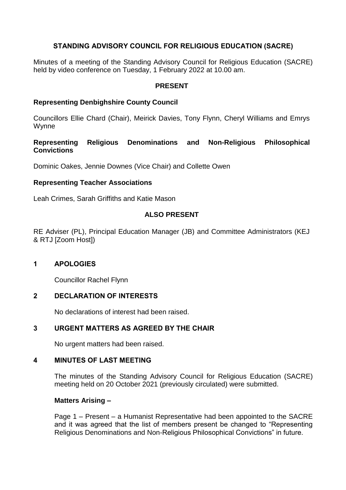# **STANDING ADVISORY COUNCIL FOR RELIGIOUS EDUCATION (SACRE)**

Minutes of a meeting of the Standing Advisory Council for Religious Education (SACRE) held by video conference on Tuesday, 1 February 2022 at 10.00 am.

### **PRESENT**

## **Representing Denbighshire County Council**

Councillors Ellie Chard (Chair), Meirick Davies, Tony Flynn, Cheryl Williams and Emrys **Wynne** 

### **Representing Religious Denominations and Non-Religious Philosophical Convictions**

Dominic Oakes, Jennie Downes (Vice Chair) and Collette Owen

## **Representing Teacher Associations**

Leah Crimes, Sarah Griffiths and Katie Mason

# **ALSO PRESENT**

RE Adviser (PL), Principal Education Manager (JB) and Committee Administrators (KEJ & RTJ [Zoom Host])

# **1 APOLOGIES**

Councillor Rachel Flynn

# **2 DECLARATION OF INTERESTS**

No declarations of interest had been raised.

# **3 URGENT MATTERS AS AGREED BY THE CHAIR**

No urgent matters had been raised.

### **4 MINUTES OF LAST MEETING**

The minutes of the Standing Advisory Council for Religious Education (SACRE) meeting held on 20 October 2021 (previously circulated) were submitted.

### **Matters Arising –**

Page 1 – Present – a Humanist Representative had been appointed to the SACRE and it was agreed that the list of members present be changed to "Representing Religious Denominations and Non-Religious Philosophical Convictions" in future.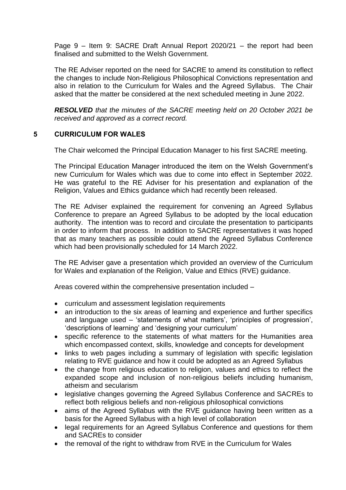Page 9 – Item 9: SACRE Draft Annual Report 2020/21 – the report had been finalised and submitted to the Welsh Government.

The RE Adviser reported on the need for SACRE to amend its constitution to reflect the changes to include Non-Religious Philosophical Convictions representation and also in relation to the Curriculum for Wales and the Agreed Syllabus. The Chair asked that the matter be considered at the next scheduled meeting in June 2022.

*RESOLVED that the minutes of the SACRE meeting held on 20 October 2021 be received and approved as a correct record.*

### **5 CURRICULUM FOR WALES**

The Chair welcomed the Principal Education Manager to his first SACRE meeting.

The Principal Education Manager introduced the item on the Welsh Government's new Curriculum for Wales which was due to come into effect in September 2022. He was grateful to the RE Adviser for his presentation and explanation of the Religion, Values and Ethics guidance which had recently been released.

The RE Adviser explained the requirement for convening an Agreed Syllabus Conference to prepare an Agreed Syllabus to be adopted by the local education authority. The intention was to record and circulate the presentation to participants in order to inform that process. In addition to SACRE representatives it was hoped that as many teachers as possible could attend the Agreed Syllabus Conference which had been provisionally scheduled for 14 March 2022.

The RE Adviser gave a presentation which provided an overview of the Curriculum for Wales and explanation of the Religion, Value and Ethics (RVE) guidance.

Areas covered within the comprehensive presentation included –

- curriculum and assessment legislation requirements
- an introduction to the six areas of learning and experience and further specifics and language used – 'statements of what matters', 'principles of progression', 'descriptions of learning' and 'designing your curriculum'
- specific reference to the statements of what matters for the Humanities area which encompassed context, skills, knowledge and concepts for development
- links to web pages including a summary of legislation with specific legislation relating to RVE guidance and how it could be adopted as an Agreed Syllabus
- the change from religious education to religion, values and ethics to reflect the expanded scope and inclusion of non-religious beliefs including humanism, atheism and secularism
- legislative changes governing the Agreed Syllabus Conference and SACREs to reflect both religious beliefs and non-religious philosophical convictions
- aims of the Agreed Syllabus with the RVE guidance having been written as a basis for the Agreed Syllabus with a high level of collaboration
- legal requirements for an Agreed Syllabus Conference and questions for them and SACREs to consider
- the removal of the right to withdraw from RVE in the Curriculum for Wales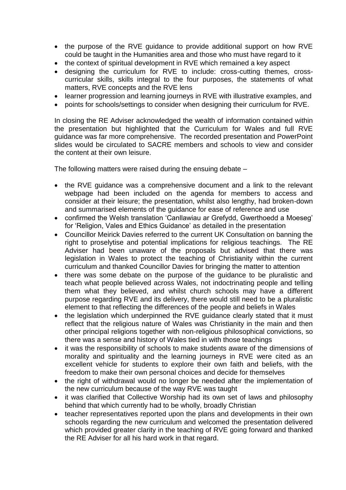- the purpose of the RVE guidance to provide additional support on how RVE could be taught in the Humanities area and those who must have regard to it
- the context of spiritual development in RVE which remained a key aspect
- designing the curriculum for RVE to include: cross-cutting themes, crosscurricular skills, skills integral to the four purposes, the statements of what matters, RVE concepts and the RVE lens
- learner progression and learning journeys in RVE with illustrative examples, and
- points for schools/settings to consider when designing their curriculum for RVE.

In closing the RE Adviser acknowledged the wealth of information contained within the presentation but highlighted that the Curriculum for Wales and full RVE guidance was far more comprehensive. The recorded presentation and PowerPoint slides would be circulated to SACRE members and schools to view and consider the content at their own leisure.

The following matters were raised during the ensuing debate –

- the RVE quidance was a comprehensive document and a link to the relevant webpage had been included on the agenda for members to access and consider at their leisure; the presentation, whilst also lengthy, had broken-down and summarised elements of the guidance for ease of reference and use
- confirmed the Welsh translation 'Canllawiau ar Grefydd, Gwerthoedd a Moeseg' for 'Religion, Vales and Ethics Guidance' as detailed in the presentation
- Councillor Meirick Davies referred to the current UK Consultation on banning the right to proselytise and potential implications for religious teachings. The RE Adviser had been unaware of the proposals but advised that there was legislation in Wales to protect the teaching of Christianity within the current curriculum and thanked Councillor Davies for bringing the matter to attention
- there was some debate on the purpose of the guidance to be pluralistic and teach what people believed across Wales, not indoctrinating people and telling them what they believed, and whilst church schools may have a different purpose regarding RVE and its delivery, there would still need to be a pluralistic element to that reflecting the differences of the people and beliefs in Wales
- the legislation which underpinned the RVE guidance clearly stated that it must reflect that the religious nature of Wales was Christianity in the main and then other principal religions together with non-religious philosophical convictions, so there was a sense and history of Wales tied in with those teachings
- it was the responsibility of schools to make students aware of the dimensions of morality and spirituality and the learning journeys in RVE were cited as an excellent vehicle for students to explore their own faith and beliefs, with the freedom to make their own personal choices and decide for themselves
- the right of withdrawal would no longer be needed after the implementation of the new curriculum because of the way RVE was taught
- it was clarified that Collective Worship had its own set of laws and philosophy behind that which currently had to be wholly, broadly Christian
- teacher representatives reported upon the plans and developments in their own schools regarding the new curriculum and welcomed the presentation delivered which provided greater clarity in the teaching of RVE going forward and thanked the RE Adviser for all his hard work in that regard.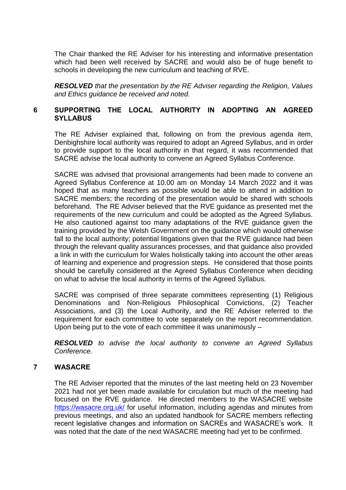The Chair thanked the RE Adviser for his interesting and informative presentation which had been well received by SACRE and would also be of huge benefit to schools in developing the new curriculum and teaching of RVE.

*RESOLVED that the presentation by the RE Adviser regarding the Religion, Values and Ethics guidance be received and noted.*

## **6 SUPPORTING THE LOCAL AUTHORITY IN ADOPTING AN AGREED SYLLABUS**

The RE Adviser explained that, following on from the previous agenda item, Denbighshire local authority was required to adopt an Agreed Syllabus, and in order to provide support to the local authority in that regard, it was recommended that SACRE advise the local authority to convene an Agreed Syllabus Conference.

SACRE was advised that provisional arrangements had been made to convene an Agreed Syllabus Conference at 10.00 am on Monday 14 March 2022 and it was hoped that as many teachers as possible would be able to attend in addition to SACRE members; the recording of the presentation would be shared with schools beforehand. The RE Adviser believed that the RVE guidance as presented met the requirements of the new curriculum and could be adopted as the Agreed Syllabus. He also cautioned against too many adaptations of the RVE guidance given the training provided by the Welsh Government on the guidance which would otherwise fall to the local authority; potential litigations given that the RVE guidance had been through the relevant quality assurances processes, and that guidance also provided a link in with the curriculum for Wales holistically taking into account the other areas of learning and experience and progression steps. He considered that those points should be carefully considered at the Agreed Syllabus Conference when deciding on what to advise the local authority in terms of the Agreed Syllabus.

SACRE was comprised of three separate committees representing (1) Religious Denominations and Non-Religious Philosophical Convictions, (2) Teacher Associations, and (3) the Local Authority, and the RE Adviser referred to the requirement for each committee to vote separately on the report recommendation. Upon being put to the vote of each committee it was unanimously –

*RESOLVED to advise the local authority to convene an Agreed Syllabus Conference.*

### **7 WASACRE**

The RE Adviser reported that the minutes of the last meeting held on 23 November 2021 had not yet been made available for circulation but much of the meeting had focused on the RVE guidance. He directed members to the WASACRE website <https://wasacre.org.uk/> for useful information, including agendas and minutes from previous meetings, and also an updated handbook for SACRE members reflecting recent legislative changes and information on SACREs and WASACRE's work. It was noted that the date of the next WASACRE meeting had yet to be confirmed.